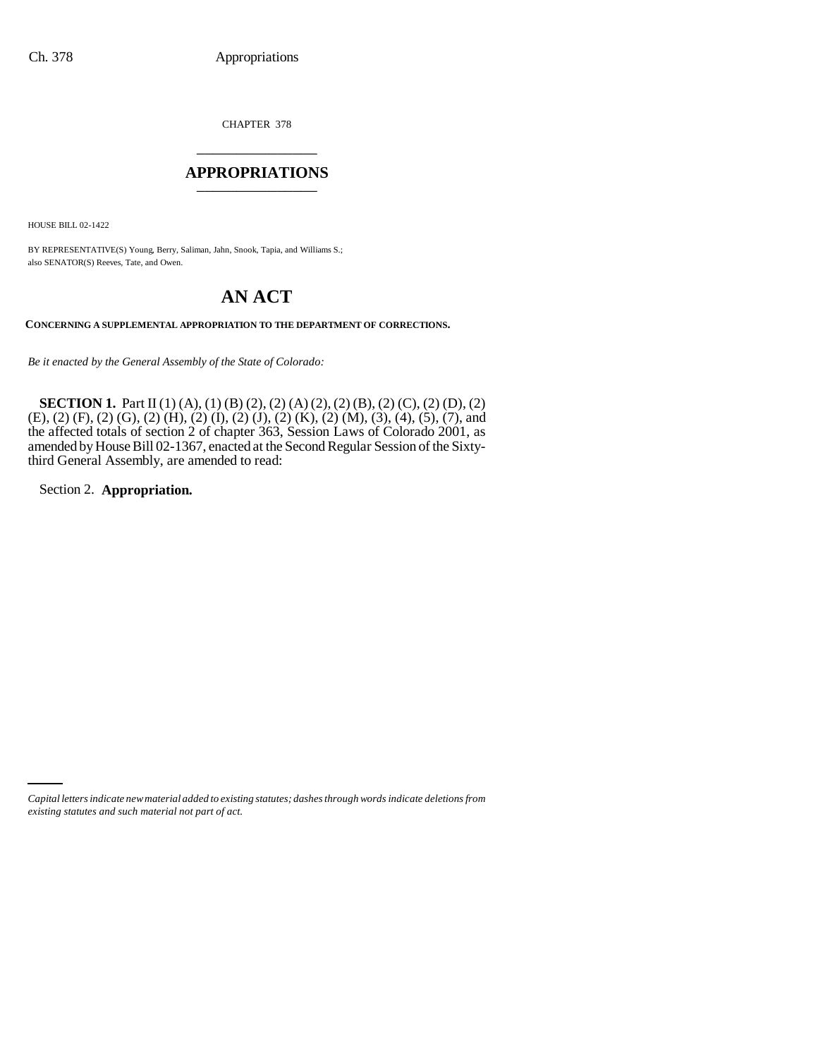CHAPTER 378 \_\_\_\_\_\_\_\_\_\_\_\_\_\_\_

#### **APPROPRIATIONS** \_\_\_\_\_\_\_\_\_\_\_\_\_\_\_

HOUSE BILL 02-1422

BY REPRESENTATIVE(S) Young, Berry, Saliman, Jahn, Snook, Tapia, and Williams S.; also SENATOR(S) Reeves, Tate, and Owen.

# **AN ACT**

**CONCERNING A SUPPLEMENTAL APPROPRIATION TO THE DEPARTMENT OF CORRECTIONS.**

*Be it enacted by the General Assembly of the State of Colorado:*

**SECTION 1.** Part II (1) (A), (1) (B) (2), (2) (A) (2), (2) (B), (2) (C), (2) (D), (2) (E), (2) (F), (2) (G), (2) (H), (2) (I), (2) (J), (2) (K), (2) (M), (3), (4), (5), (7), and the affected totals of section 2 of chapter 363, Session Laws of Colorado 2001, as amended by House Bill 02-1367, enacted at the Second Regular Session of the Sixtythird General Assembly, are amended to read:

Section 2. **Appropriation.**

*Capital letters indicate new material added to existing statutes; dashes through words indicate deletions from existing statutes and such material not part of act.*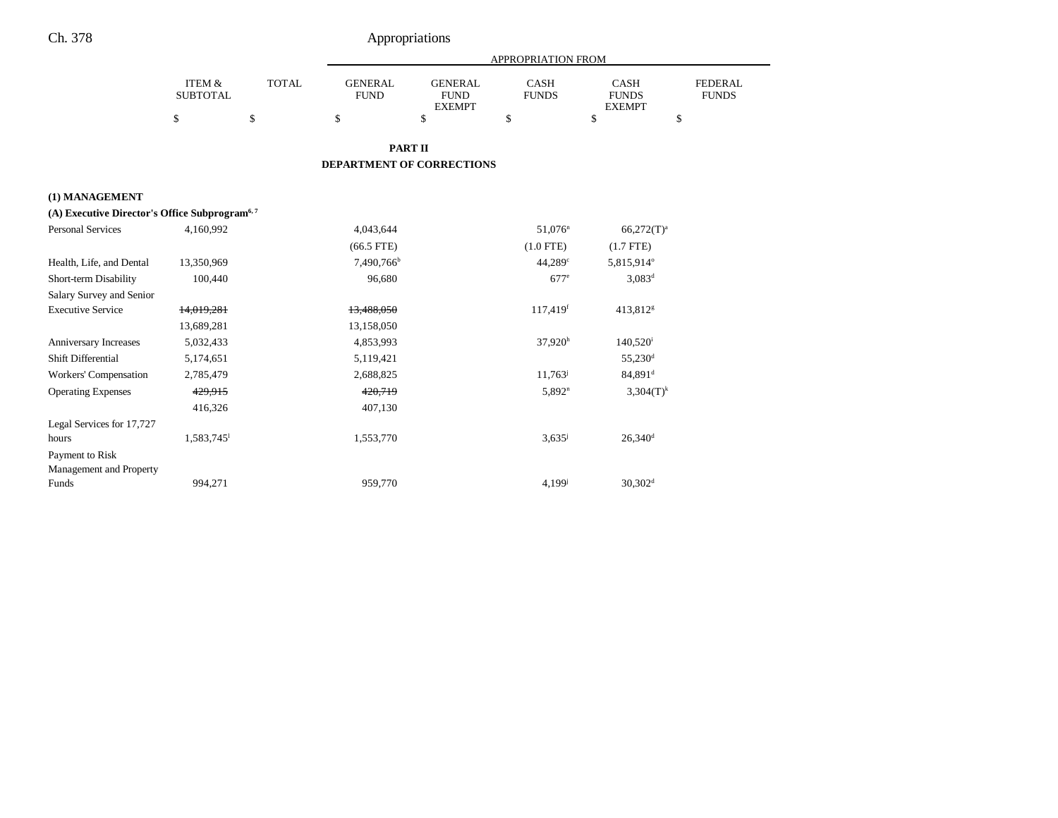|                                                           |                           |              | <b>APPROPRIATION FROM</b>     |                                                |                       |                                              |                                |  |
|-----------------------------------------------------------|---------------------------|--------------|-------------------------------|------------------------------------------------|-----------------------|----------------------------------------------|--------------------------------|--|
|                                                           | ITEM &<br><b>SUBTOTAL</b> | <b>TOTAL</b> | <b>GENERAL</b><br><b>FUND</b> | <b>GENERAL</b><br><b>FUND</b><br><b>EXEMPT</b> | CASH<br><b>FUNDS</b>  | <b>CASH</b><br><b>FUNDS</b><br><b>EXEMPT</b> | <b>FEDERAL</b><br><b>FUNDS</b> |  |
|                                                           | \$                        | $\$$         | \$                            | \$                                             | \$                    | \$                                           | \$                             |  |
|                                                           |                           |              |                               | <b>PART II</b>                                 |                       |                                              |                                |  |
|                                                           |                           |              | DEPARTMENT OF CORRECTIONS     |                                                |                       |                                              |                                |  |
| (1) MANAGEMENT                                            |                           |              |                               |                                                |                       |                                              |                                |  |
| (A) Executive Director's Office Subprogram <sup>6,7</sup> |                           |              |                               |                                                |                       |                                              |                                |  |
| <b>Personal Services</b>                                  | 4,160,992                 |              | 4,043,644                     |                                                | $51,076$ <sup>n</sup> | $66,272(T)^a$                                |                                |  |
|                                                           |                           |              | $(66.5$ FTE)                  |                                                | $(1.0$ FTE)           | $(1.7$ FTE)                                  |                                |  |
| Health, Life, and Dental                                  | 13,350,969                |              | 7,490,766 <sup>b</sup>        |                                                | $44,289^\circ$        | 5,815,914°                                   |                                |  |
| Short-term Disability                                     | 100,440                   |              | 96,680                        |                                                | $677^e$               | $3,083^d$                                    |                                |  |
| Salary Survey and Senior                                  |                           |              |                               |                                                |                       |                                              |                                |  |
| <b>Executive Service</b>                                  | 14,019,281                |              | 13,488,050                    |                                                | 117,419 <sup>f</sup>  | 413,812 <sup>g</sup>                         |                                |  |
|                                                           | 13,689,281                |              | 13,158,050                    |                                                |                       |                                              |                                |  |
| Anniversary Increases                                     | 5,032,433                 |              | 4,853,993                     |                                                | $37,920^h$            | $140,520^{\rm i}$                            |                                |  |
| Shift Differential                                        | 5,174,651                 |              | 5,119,421                     |                                                |                       | 55,230 <sup>d</sup>                          |                                |  |
| Workers' Compensation                                     | 2,785,479                 |              | 2,688,825                     |                                                | 11,763                | 84,891 <sup>d</sup>                          |                                |  |
| <b>Operating Expenses</b>                                 | 429,915                   |              | 420,719                       |                                                | 5.892 <sup>n</sup>    | $3,304(T)^k$                                 |                                |  |
|                                                           | 416,326                   |              | 407,130                       |                                                |                       |                                              |                                |  |
| Legal Services for 17,727                                 |                           |              |                               |                                                |                       |                                              |                                |  |
| hours                                                     | 1,583,745                 |              | 1,553,770                     |                                                | $3,635^{\circ}$       | $26,340$ <sup>d</sup>                        |                                |  |
| Payment to Risk                                           |                           |              |                               |                                                |                       |                                              |                                |  |
| Management and Property                                   |                           |              |                               |                                                |                       |                                              |                                |  |
| Funds                                                     | 994,271                   |              | 959,770                       |                                                | $4.199^{j}$           | $30,302$ <sup>d</sup>                        |                                |  |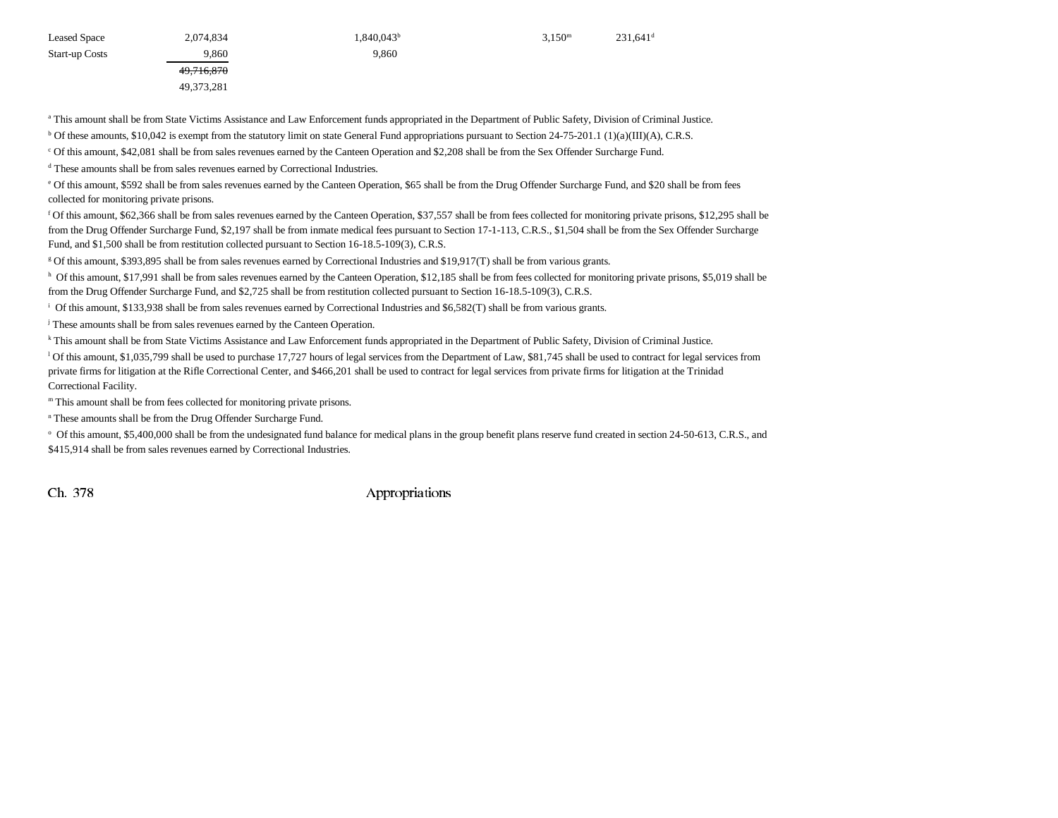| Leased Space   | 2,074,834  | $1,840,043^b$ | 3.150 <sup>m</sup> | $231,641$ <sup>c</sup> |
|----------------|------------|---------------|--------------------|------------------------|
| Start-up Costs | 9.860      | 9,860         |                    |                        |
|                | 49.716.870 |               |                    |                        |
|                |            |               |                    |                        |

a This amount shall be from State Victims Assistance and Law Enforcement funds appropriated in the Department of Public Safety, Division of Criminal Justice.

<sup>b</sup> Of these amounts, \$10,042 is exempt from the statutory limit on state General Fund appropriations pursuant to Section 24-75-201.1 (1)(a)(III)(A), C.R.S.

c Of this amount, \$42,081 shall be from sales revenues earned by the Canteen Operation and \$2,208 shall be from the Sex Offender Surcharge Fund.

d These amounts shall be from sales revenues earned by Correctional Industries.

49,716,870 49,373,281

e Of this amount, \$592 shall be from sales revenues earned by the Canteen Operation, \$65 shall be from the Drug Offender Surcharge Fund, and \$20 shall be from fees collected for monitoring private prisons.

f Of this amount, \$62,366 shall be from sales revenues earned by the Canteen Operation, \$37,557 shall be from fees collected for monitoring private prisons, \$12,295 shall be from the Drug Offender Surcharge Fund, \$2,197 shall be from inmate medical fees pursuant to Section 17-1-113, C.R.S., \$1,504 shall be from the Sex Offender Surcharge Fund, and \$1,500 shall be from restitution collected pursuant to Section 16-18.5-109(3), C.R.S.

g Of this amount, \$393,895 shall be from sales revenues earned by Correctional Industries and \$19,917(T) shall be from various grants.

h Of this amount, \$17,991 shall be from sales revenues earned by the Canteen Operation, \$12,185 shall be from fees collected for monitoring private prisons, \$5,019 shall be from the Drug Offender Surcharge Fund, and \$2,725 shall be from restitution collected pursuant to Section 16-18.5-109(3), C.R.S.

i Of this amount, \$133,938 shall be from sales revenues earned by Correctional Industries and \$6,582(T) shall be from various grants.

j These amounts shall be from sales revenues earned by the Canteen Operation.

k This amount shall be from State Victims Assistance and Law Enforcement funds appropriated in the Department of Public Safety, Division of Criminal Justice.

<sup>1</sup> Of this amount, \$1,035,799 shall be used to purchase 17,727 hours of legal services from the Department of Law, \$81,745 shall be used to contract for legal services from private firms for litigation at the Rifle Correctional Center, and \$466,201 shall be used to contract for legal services from private firms for litigation at the Trinidad Correctional Facility.

m This amount shall be from fees collected for monitoring private prisons.

<sup>n</sup> These amounts shall be from the Drug Offender Surcharge Fund.

<sup>o</sup> Of this amount, \$5,400,000 shall be from the undesignated fund balance for medical plans in the group benefit plans reserve fund created in section 24-50-613, C.R.S., and \$415,914 shall be from sales revenues earned by Correctional Industries.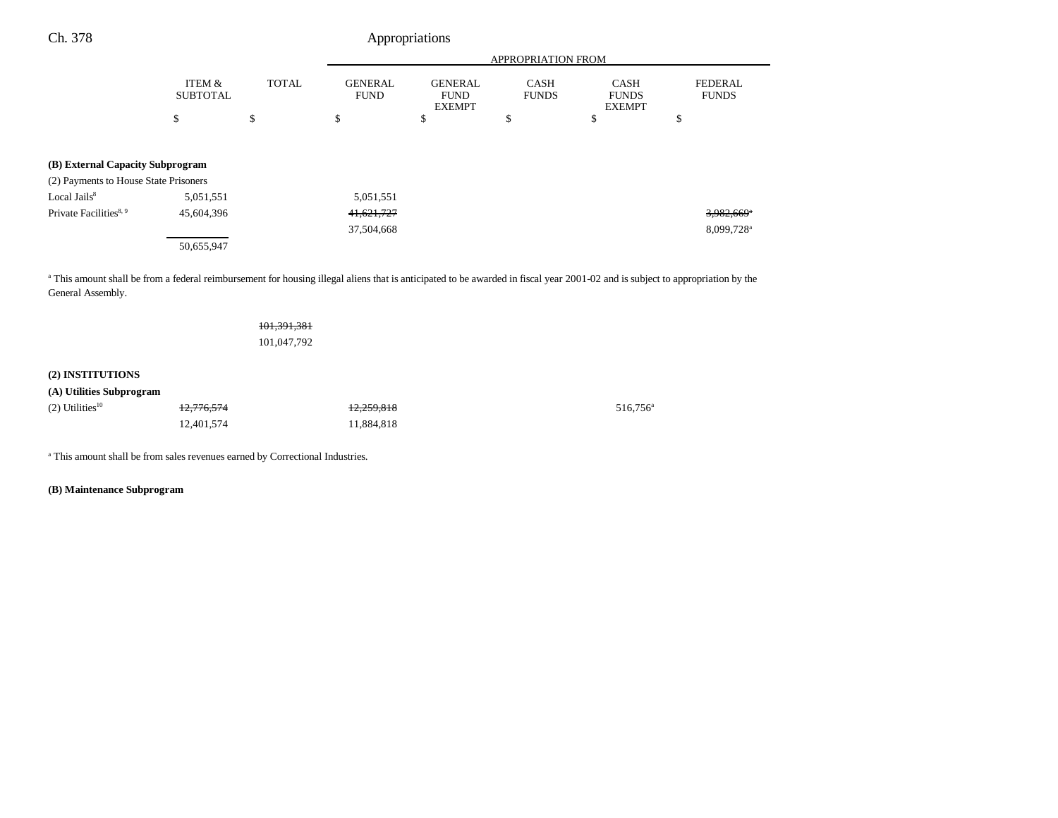| Ch. 378 | Appropriations |
|---------|----------------|
|---------|----------------|

|                                                                                                                                                                                           |                           |              | <b>APPROPRIATION FROM</b>     |                                                |                             |                                              |                                |  |
|-------------------------------------------------------------------------------------------------------------------------------------------------------------------------------------------|---------------------------|--------------|-------------------------------|------------------------------------------------|-----------------------------|----------------------------------------------|--------------------------------|--|
|                                                                                                                                                                                           | ITEM &<br><b>SUBTOTAL</b> | <b>TOTAL</b> | <b>GENERAL</b><br><b>FUND</b> | <b>GENERAL</b><br><b>FUND</b><br><b>EXEMPT</b> | <b>CASH</b><br><b>FUNDS</b> | <b>CASH</b><br><b>FUNDS</b><br><b>EXEMPT</b> | <b>FEDERAL</b><br><b>FUNDS</b> |  |
|                                                                                                                                                                                           | \$                        | \$           | \$                            | \$                                             | \$                          | \$                                           | \$                             |  |
|                                                                                                                                                                                           |                           |              |                               |                                                |                             |                                              |                                |  |
| (B) External Capacity Subprogram                                                                                                                                                          |                           |              |                               |                                                |                             |                                              |                                |  |
| (2) Payments to House State Prisoners                                                                                                                                                     |                           |              |                               |                                                |                             |                                              |                                |  |
| Local Jails <sup>8</sup>                                                                                                                                                                  | 5,051,551                 |              | 5,051,551                     |                                                |                             |                                              |                                |  |
| Private Facilities <sup>8, 9</sup>                                                                                                                                                        | 45.604.396                |              | 41,621,727                    |                                                |                             |                                              | 3,982,669 <sup>*</sup>         |  |
|                                                                                                                                                                                           |                           |              | 37,504,668                    |                                                |                             |                                              | 8,099,728 <sup>a</sup>         |  |
|                                                                                                                                                                                           | 50,655,947                |              |                               |                                                |                             |                                              |                                |  |
| <sup>a</sup> This amount shall be from a federal reimbursement for housing illegal aliens that is anticipated to be awarded in fiscal year 2001-02 and is subject to appropriation by the |                           |              |                               |                                                |                             |                                              |                                |  |
|                                                                                                                                                                                           |                           |              |                               |                                                |                             |                                              |                                |  |

sing illegal aliens that is anticipated to be awarded in fiscal year 2001-02 and is subject to appropriation by the General Assembly.

| <del>101,391,381</del> |  |
|------------------------|--|
| 101,047,792            |  |

# **(2) INSTITUTIONS**

|  | (A) Utilities Subprogram |
|--|--------------------------|
|  |                          |

| $(2)$ Utilities <sup>10</sup> | 12,776,574 | 12,259,818 | 516,756 |
|-------------------------------|------------|------------|---------|
|                               | 12.401.574 | 11.884.818 |         |

a This amount shall be from sales revenues earned by Correctional Industries.

**(B) Maintenance Subprogram**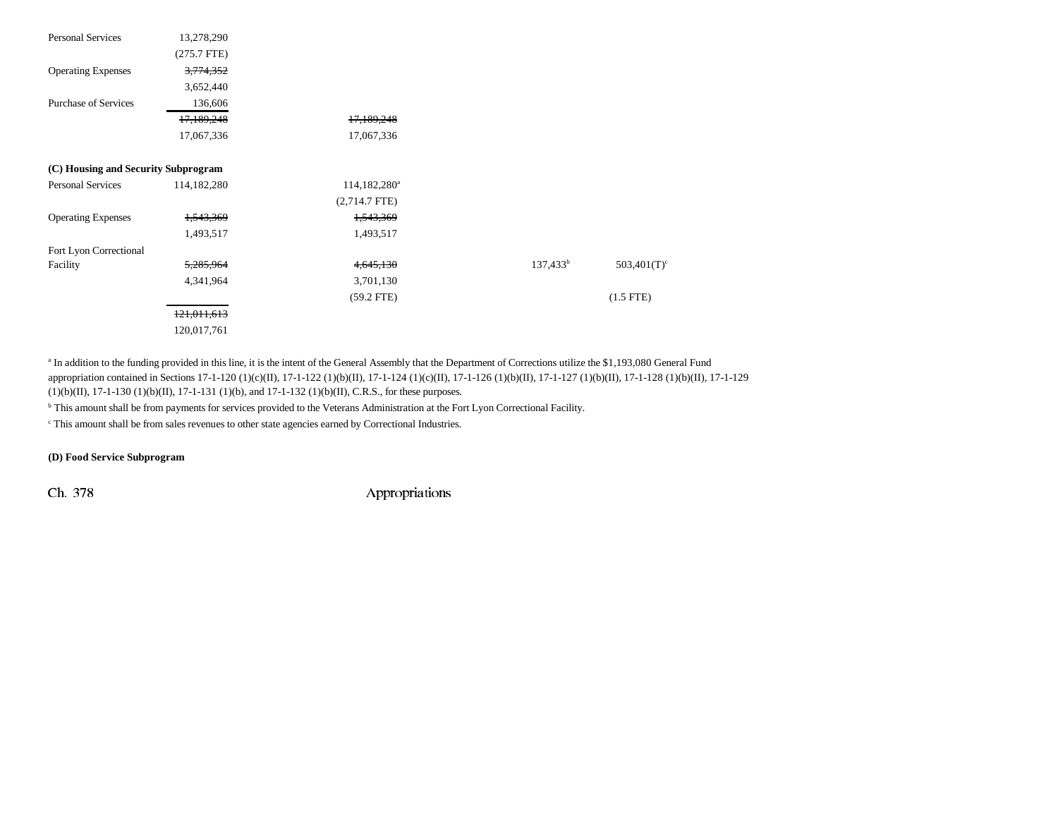| Personal Services                   | 13,278,290    |                          |             |                           |
|-------------------------------------|---------------|--------------------------|-------------|---------------------------|
|                                     | $(275.7$ FTE) |                          |             |                           |
| <b>Operating Expenses</b>           | 3,774,352     |                          |             |                           |
|                                     | 3,652,440     |                          |             |                           |
| <b>Purchase of Services</b>         | 136,606       |                          |             |                           |
|                                     | 17,189,248    | 17,189,248               |             |                           |
|                                     | 17,067,336    | 17,067,336               |             |                           |
| (C) Housing and Security Subprogram |               |                          |             |                           |
| Personal Services                   | 114,182,280   | 114,182,280 <sup>a</sup> |             |                           |
|                                     |               | $(2,714.7$ FTE)          |             |                           |
| <b>Operating Expenses</b>           | 1,543,369     | 1,543,369                |             |                           |
|                                     | 1,493,517     | 1,493,517                |             |                           |
| Fort Lyon Correctional              |               |                          |             |                           |
| Facility                            | 5,285,964     | 4,645,130                | $137,433^b$ | $503,401(T)$ <sup>c</sup> |
|                                     | 4,341,964     | 3,701,130                |             |                           |
|                                     |               | $(59.2$ FTE)             |             | $(1.5$ FTE)               |
|                                     | 121,011,613   |                          |             |                           |
|                                     | 120,017,761   |                          |             |                           |

<sup>a</sup> In addition to the funding provided in this line, it is the intent of the General Assembly that the Department of Corrections utilize the \$1,193,080 General Fund appropriation contained in Sections 17-1-120 (1)(c)(II), 17-1-122 (1)(b)(II), 17-1-124 (1)(c)(II), 17-1-126 (1)(b)(II), 17-1-127 (1)(b)(II), 17-1-128 (1)(b)(II), 17-1-129 (1)(b)(II), 17-1-130 (1)(b)(II), 17-1-131 (1)(b), and 17-1-132 (1)(b)(II), C.R.S., for these purposes.

b This amount shall be from payments for services provided to the Veterans Administration at the Fort Lyon Correctional Facility.

c This amount shall be from sales revenues to other state agencies earned by Correctional Industries.

#### **(D) Food Service Subprogram**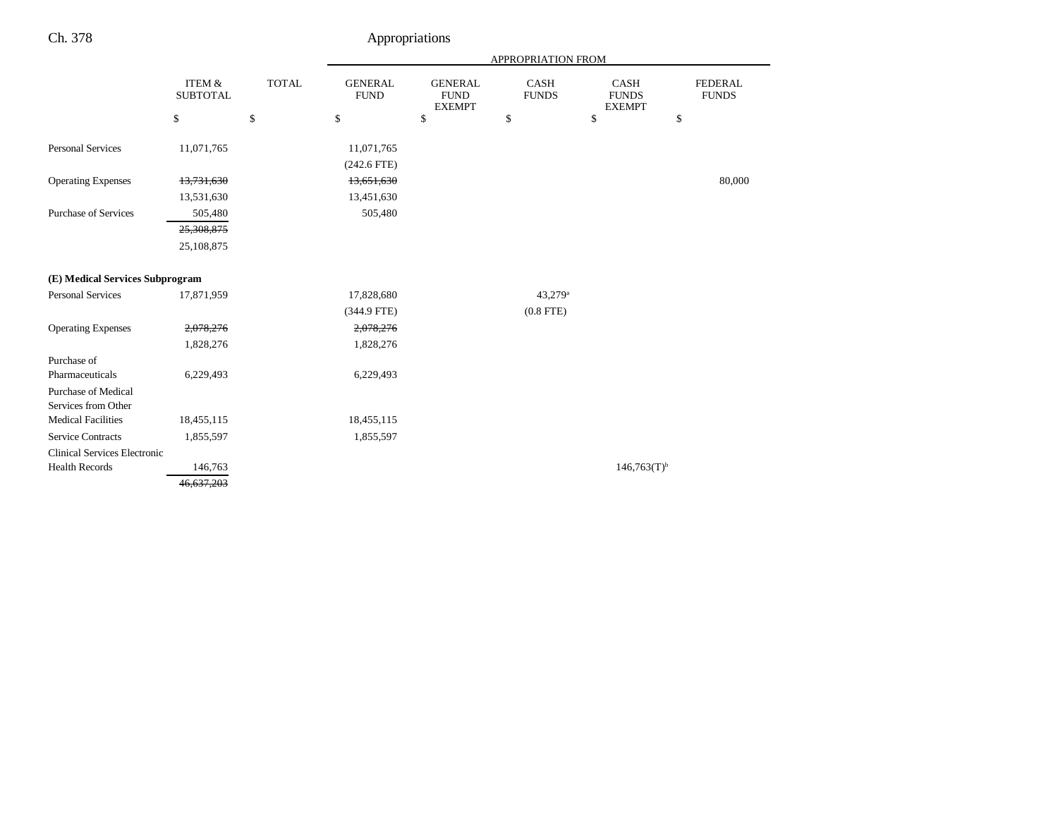|                                     |                                      |              | APPROPRIATION FROM            |                                                |                      |                                              |                                |
|-------------------------------------|--------------------------------------|--------------|-------------------------------|------------------------------------------------|----------------------|----------------------------------------------|--------------------------------|
|                                     | <b>ITEM &amp;</b><br><b>SUBTOTAL</b> | <b>TOTAL</b> | <b>GENERAL</b><br><b>FUND</b> | <b>GENERAL</b><br><b>FUND</b><br><b>EXEMPT</b> | CASH<br><b>FUNDS</b> | <b>CASH</b><br><b>FUNDS</b><br><b>EXEMPT</b> | <b>FEDERAL</b><br><b>FUNDS</b> |
|                                     | \$                                   | \$           | \$                            | \$                                             | \$                   | \$                                           | \$                             |
| <b>Personal Services</b>            | 11,071,765                           |              | 11,071,765                    |                                                |                      |                                              |                                |
|                                     |                                      |              | $(242.6$ FTE)                 |                                                |                      |                                              |                                |
| <b>Operating Expenses</b>           | 13,731,630                           |              | 13,651,630                    |                                                |                      |                                              | 80,000                         |
|                                     | 13,531,630                           |              | 13,451,630                    |                                                |                      |                                              |                                |
| <b>Purchase of Services</b>         | 505,480                              |              | 505,480                       |                                                |                      |                                              |                                |
|                                     | 25,308,875                           |              |                               |                                                |                      |                                              |                                |
|                                     | 25,108,875                           |              |                               |                                                |                      |                                              |                                |
|                                     |                                      |              |                               |                                                |                      |                                              |                                |
| (E) Medical Services Subprogram     |                                      |              |                               |                                                |                      |                                              |                                |
| <b>Personal Services</b>            | 17,871,959                           |              | 17,828,680                    |                                                | 43,279 <sup>a</sup>  |                                              |                                |
|                                     |                                      |              | (344.9 FTE)                   |                                                | $(0.8$ FTE)          |                                              |                                |
| <b>Operating Expenses</b>           | 2,078,276                            |              | 2,078,276                     |                                                |                      |                                              |                                |
|                                     | 1,828,276                            |              | 1,828,276                     |                                                |                      |                                              |                                |
| Purchase of                         |                                      |              |                               |                                                |                      |                                              |                                |
| Pharmaceuticals                     | 6,229,493                            |              | 6,229,493                     |                                                |                      |                                              |                                |
| Purchase of Medical                 |                                      |              |                               |                                                |                      |                                              |                                |
| Services from Other                 |                                      |              |                               |                                                |                      |                                              |                                |
| <b>Medical Facilities</b>           | 18,455,115                           |              | 18,455,115                    |                                                |                      |                                              |                                |
| <b>Service Contracts</b>            | 1,855,597                            |              | 1,855,597                     |                                                |                      |                                              |                                |
| <b>Clinical Services Electronic</b> |                                      |              |                               |                                                |                      |                                              |                                |
| <b>Health Records</b>               | 146,763                              |              |                               |                                                |                      | $146,763(T)$ <sup>b</sup>                    |                                |
|                                     | 46,637,203                           |              |                               |                                                |                      |                                              |                                |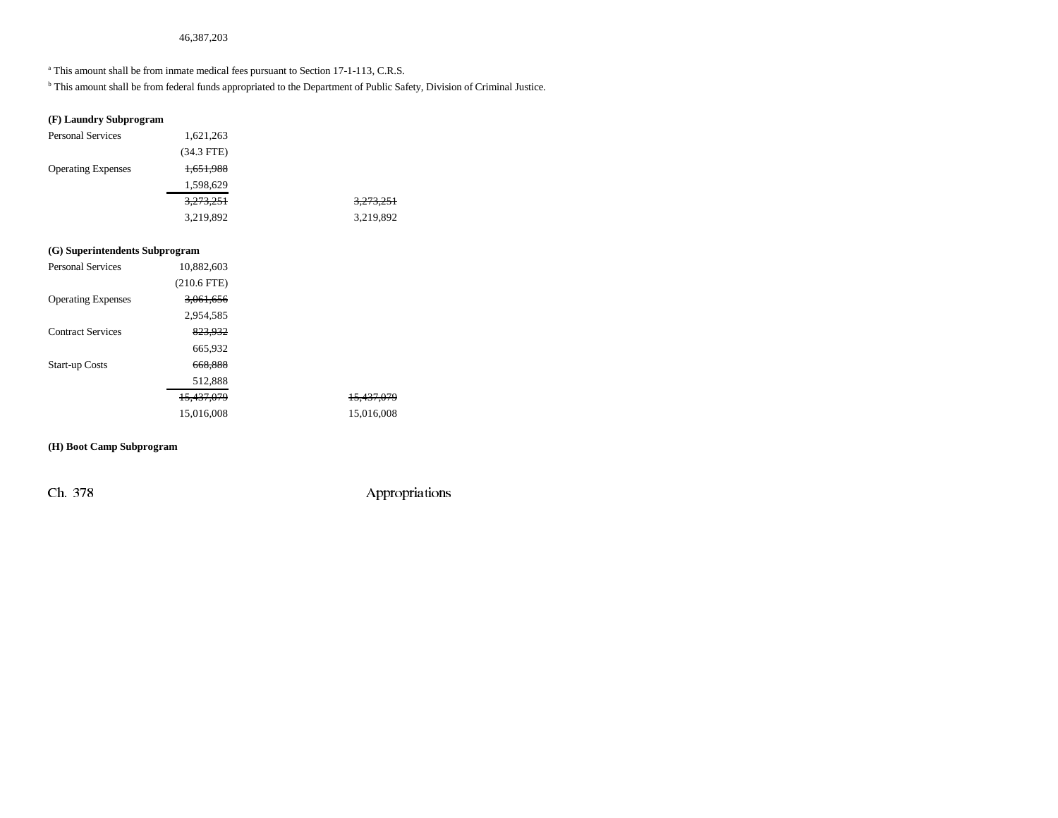#### 46,387,203

<sup>a</sup> This amount shall be from inmate medical fees pursuant to Section 17-1-113, C.R.S.

b This amount shall be from federal funds appropriated to the Department of Public Safety, Division of Criminal Justice.

#### **(F) Laundry Subprogram**

| <b>Personal Services</b>  | 1,621,263    |           |
|---------------------------|--------------|-----------|
|                           | $(34.3$ FTE) |           |
| <b>Operating Expenses</b> | 1,651,988    |           |
|                           | 1,598,629    |           |
|                           | 3,273,251    | 3,273,251 |
|                           | 3,219,892    | 3,219,892 |
|                           |              |           |

# **(G) Superintendents Subprogram**

| 10,882,603            |                       |
|-----------------------|-----------------------|
| $(210.6$ FTE)         |                       |
| 3,061,656             |                       |
| 2,954,585             |                       |
| 823,932               |                       |
| 665,932               |                       |
| 668,888               |                       |
| 512,888               |                       |
| <del>15,437,079</del> | <del>15.437.079</del> |
| 15,016,008            | 15,016,008            |
|                       |                       |

# **(H) Boot Camp Subprogram**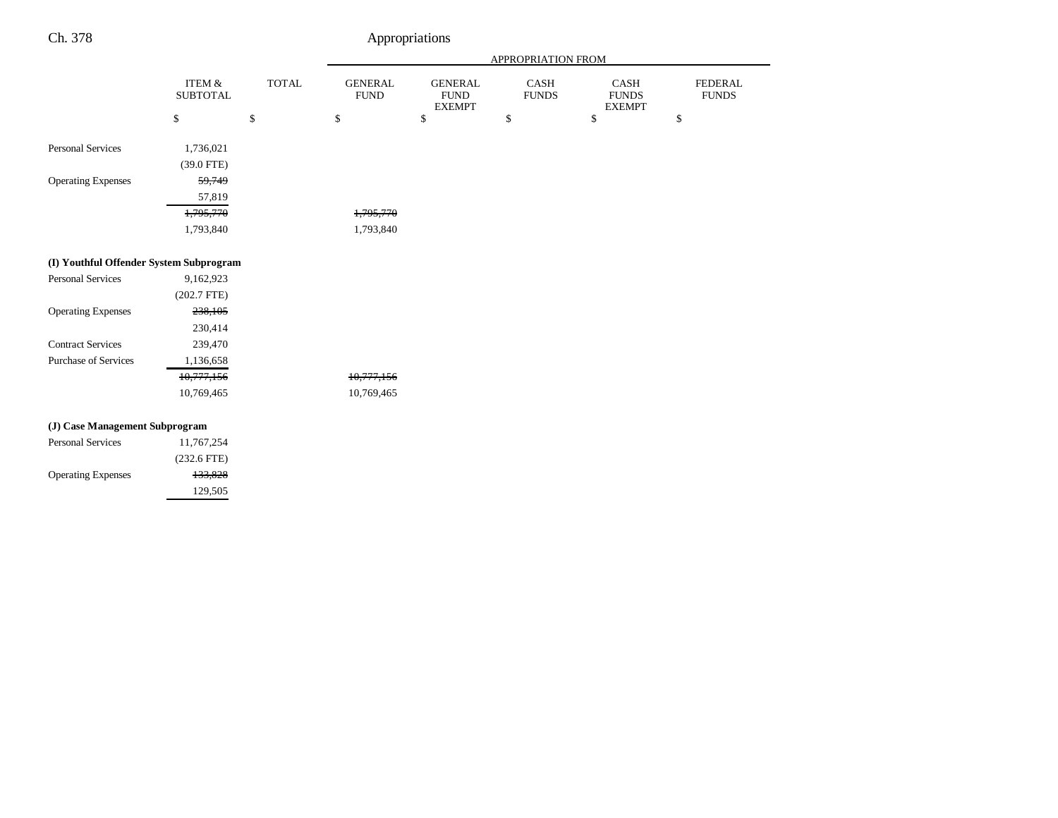|                                         |                                      |              | APPROPRIATION FROM            |                                                |                             |                                       |                                |  |
|-----------------------------------------|--------------------------------------|--------------|-------------------------------|------------------------------------------------|-----------------------------|---------------------------------------|--------------------------------|--|
|                                         | <b>ITEM &amp;</b><br><b>SUBTOTAL</b> | <b>TOTAL</b> | <b>GENERAL</b><br><b>FUND</b> | <b>GENERAL</b><br><b>FUND</b><br><b>EXEMPT</b> | <b>CASH</b><br><b>FUNDS</b> | CASH<br><b>FUNDS</b><br><b>EXEMPT</b> | <b>FEDERAL</b><br><b>FUNDS</b> |  |
|                                         | \$                                   | \$           | $\mathbb{S}$                  | $\$$                                           | \$                          | \$                                    | \$                             |  |
| <b>Personal Services</b>                | 1,736,021                            |              |                               |                                                |                             |                                       |                                |  |
|                                         | (39.0 FTE)                           |              |                               |                                                |                             |                                       |                                |  |
| <b>Operating Expenses</b>               | 59,749                               |              |                               |                                                |                             |                                       |                                |  |
|                                         | 57,819                               |              |                               |                                                |                             |                                       |                                |  |
|                                         | 1,795,770                            |              | 1,795,770                     |                                                |                             |                                       |                                |  |
|                                         | 1,793,840                            |              | 1,793,840                     |                                                |                             |                                       |                                |  |
| (I) Youthful Offender System Subprogram |                                      |              |                               |                                                |                             |                                       |                                |  |
| <b>Personal Services</b>                | 9,162,923                            |              |                               |                                                |                             |                                       |                                |  |
|                                         | $(202.7$ FTE)                        |              |                               |                                                |                             |                                       |                                |  |
| <b>Operating Expenses</b>               | 238,105                              |              |                               |                                                |                             |                                       |                                |  |
|                                         | 230,414                              |              |                               |                                                |                             |                                       |                                |  |
| <b>Contract Services</b>                | 239,470                              |              |                               |                                                |                             |                                       |                                |  |
| <b>Purchase of Services</b>             | 1,136,658                            |              |                               |                                                |                             |                                       |                                |  |
|                                         | 10,777,156                           |              | 10,777,156                    |                                                |                             |                                       |                                |  |
|                                         | 10,769,465                           |              | 10,769,465                    |                                                |                             |                                       |                                |  |
| (J) Case Management Subprogram          |                                      |              |                               |                                                |                             |                                       |                                |  |
| <b>Personal Services</b>                | 11,767,254                           |              |                               |                                                |                             |                                       |                                |  |
|                                         | $(232.6$ FTE)                        |              |                               |                                                |                             |                                       |                                |  |
| <b>Operating Expenses</b>               | 133,828                              |              |                               |                                                |                             |                                       |                                |  |
|                                         | 129,505                              |              |                               |                                                |                             |                                       |                                |  |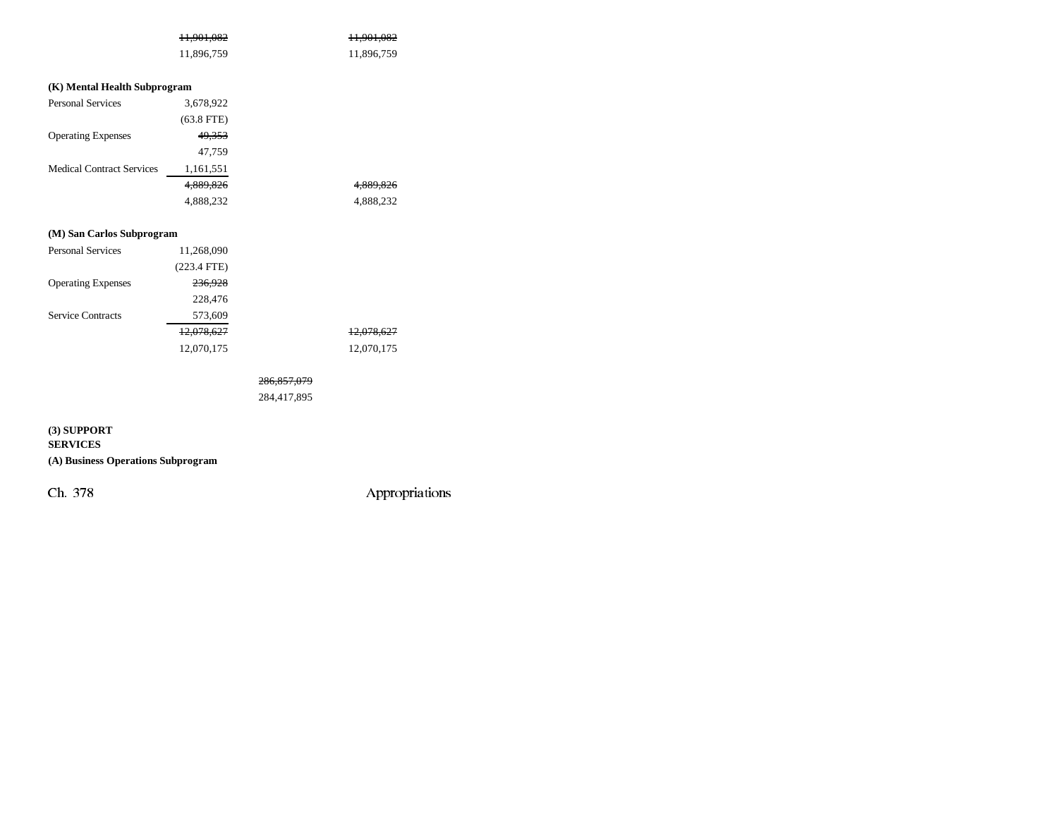| <del>11,901,082</del> | H <sub>.</sub> 901,082 |
|-----------------------|------------------------|
| 11,896,759            | 11,896,759             |

# **(K) Mental Health Subprogram**

| <b>Personal Services</b>         | 3,678,922    |           |
|----------------------------------|--------------|-----------|
|                                  | $(63.8$ FTE) |           |
| <b>Operating Expenses</b>        | 49,353       |           |
|                                  | 47,759       |           |
| <b>Medical Contract Services</b> | 1,161,551    |           |
|                                  | 4.889.826    | 4.889.826 |
|                                  | 4,888,232    | 4,888,232 |

# **(M) San Carlos Subprogram**

| <b>Personal Services</b>  | 11,268,090    |            |
|---------------------------|---------------|------------|
|                           | $(223.4$ FTE) |            |
| <b>Operating Expenses</b> | 236,928       |            |
|                           | 228,476       |            |
| <b>Service Contracts</b>  | 573,609       |            |
|                           | 12,078,627    | 12,078,627 |
|                           | 12,070,175    | 12,070,175 |

# 286,857,079

284,417,895

# **(3) SUPPORT**

**SERVICES**

# **(A) Business Operations Subprogram**

Ch. 378 Appropriations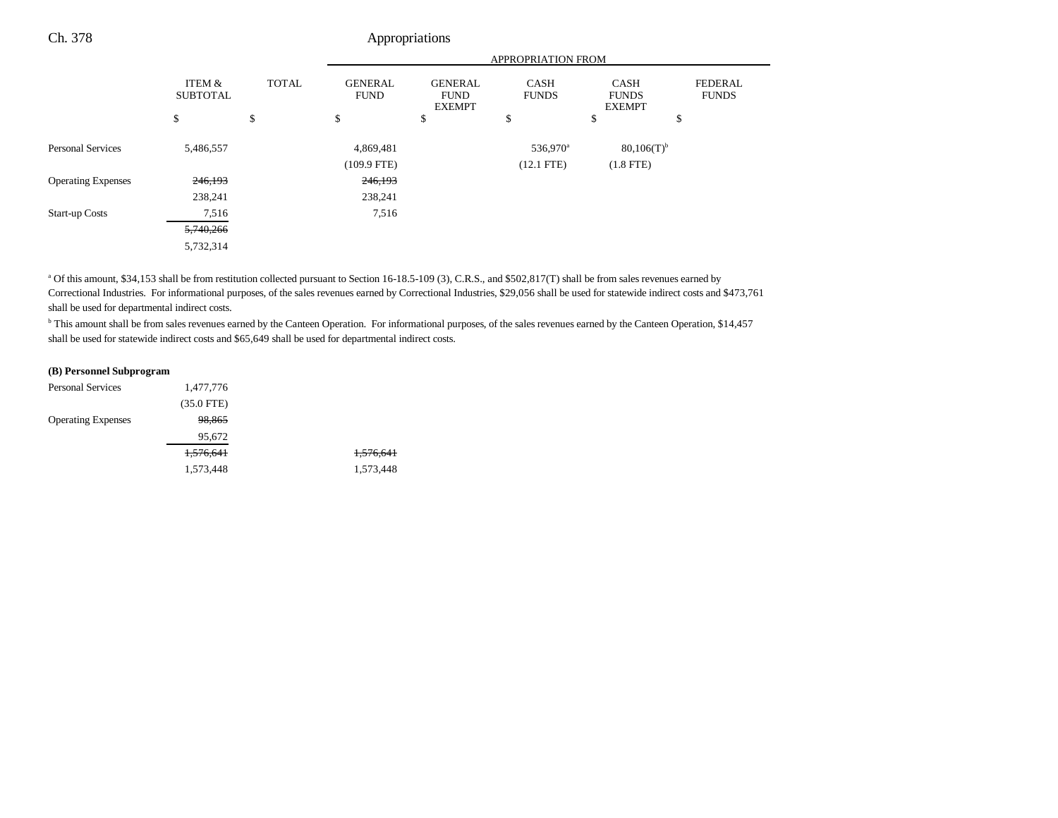|                           |                           |              | APPROPRIATION FROM            |                                                |                             |                                              |                                |
|---------------------------|---------------------------|--------------|-------------------------------|------------------------------------------------|-----------------------------|----------------------------------------------|--------------------------------|
|                           | ITEM &<br><b>SUBTOTAL</b> | <b>TOTAL</b> | <b>GENERAL</b><br><b>FUND</b> | <b>GENERAL</b><br><b>FUND</b><br><b>EXEMPT</b> | <b>CASH</b><br><b>FUNDS</b> | <b>CASH</b><br><b>FUNDS</b><br><b>EXEMPT</b> | <b>FEDERAL</b><br><b>FUNDS</b> |
|                           | \$                        | \$           | \$                            | \$                                             | \$                          | \$                                           | \$                             |
| <b>Personal Services</b>  | 5,486,557                 |              | 4,869,481                     |                                                | 536,970 <sup>a</sup>        | $80,106(T)$ <sup>b</sup>                     |                                |
|                           |                           |              | $(109.9 \text{ FTE})$         |                                                | $(12.1$ FTE)                | $(1.8$ FTE)                                  |                                |
| <b>Operating Expenses</b> | 246,193                   |              | 246,193                       |                                                |                             |                                              |                                |
|                           | 238,241                   |              | 238,241                       |                                                |                             |                                              |                                |
| <b>Start-up Costs</b>     | 7,516                     |              | 7,516                         |                                                |                             |                                              |                                |
|                           | 5,740,266                 |              |                               |                                                |                             |                                              |                                |
|                           | 5,732,314                 |              |                               |                                                |                             |                                              |                                |

<sup>a</sup> Of this amount, \$34,153 shall be from restitution collected pursuant to Section 16-18.5-109 (3), C.R.S., and \$502,817(T) shall be from sales revenues earned by Correctional Industries. For informational purposes, of the sales revenues earned by Correctional Industries, \$29,056 shall be used for statewide indirect costs and \$473,761 shall be used for departmental indirect costs.

<sup>b</sup> This amount shall be from sales revenues earned by the Canteen Operation. For informational purposes, of the sales revenues earned by the Canteen Operation, \$14,457 shall be used for statewide indirect costs and \$65,649 shall be used for departmental indirect costs.

#### **(B) Personnel Subprogram**

| <b>Personal Services</b>  | 1,477,776    |           |
|---------------------------|--------------|-----------|
|                           | $(35.0$ FTE) |           |
| <b>Operating Expenses</b> | 98,865       |           |
|                           | 95,672       |           |
|                           | 1,576,641    | 1,576,641 |
|                           | 1,573,448    | 1,573,448 |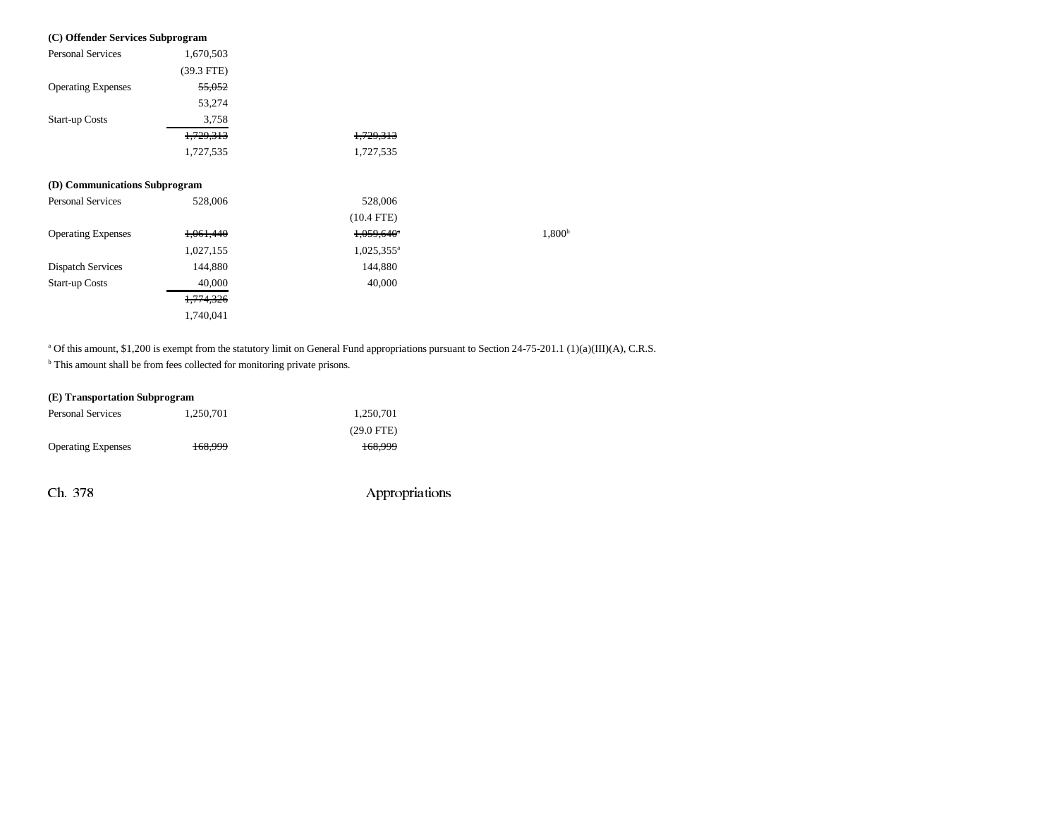| (C) Offender Services Subprogram |                      |                        |                    |
|----------------------------------|----------------------|------------------------|--------------------|
| <b>Personal Services</b>         | 1,670,503            |                        |                    |
|                                  | $(39.3$ FTE)         |                        |                    |
| <b>Operating Expenses</b>        | 55,052               |                        |                    |
|                                  | 53,274               |                        |                    |
| <b>Start-up Costs</b>            | 3,758                |                        |                    |
|                                  | <del>1,729,313</del> | <del>1,729,313</del>   |                    |
|                                  | 1,727,535            | 1,727,535              |                    |
| (D) Communications Subprogram    |                      |                        |                    |
| Personal Services                | 528,006              | 528,006                |                    |
|                                  |                      | $(10.4$ FTE)           |                    |
| <b>Operating Expenses</b>        | 1,061,440            | 1,059,640 <sup>e</sup> | 1,800 <sup>b</sup> |
|                                  | 1,027,155            | $1,025,355^{\circ}$    |                    |
| <b>Dispatch Services</b>         | 144,880              | 144,880                |                    |
| <b>Start-up Costs</b>            | 40,000               | 40,000                 |                    |
|                                  | 1,774,326            |                        |                    |
|                                  | 1,740,041            |                        |                    |

<sup>a</sup> Of this amount, \$1,200 is exempt from the statutory limit on General Fund appropriations pursuant to Section 24-75-201.1 (1)(a)(III)(A), C.R.S.

 $<sup>b</sup>$  This amount shall be from fees collected for monitoring private prisons.</sup>

# **(E) Transportation Subprogram**

| <b>Personal Services</b>  | 1.250.701 | 1.250.701    |
|---------------------------|-----------|--------------|
|                           |           | $(29.0$ FTE) |
| <b>Operating Expenses</b> | 168.999   | 168.999      |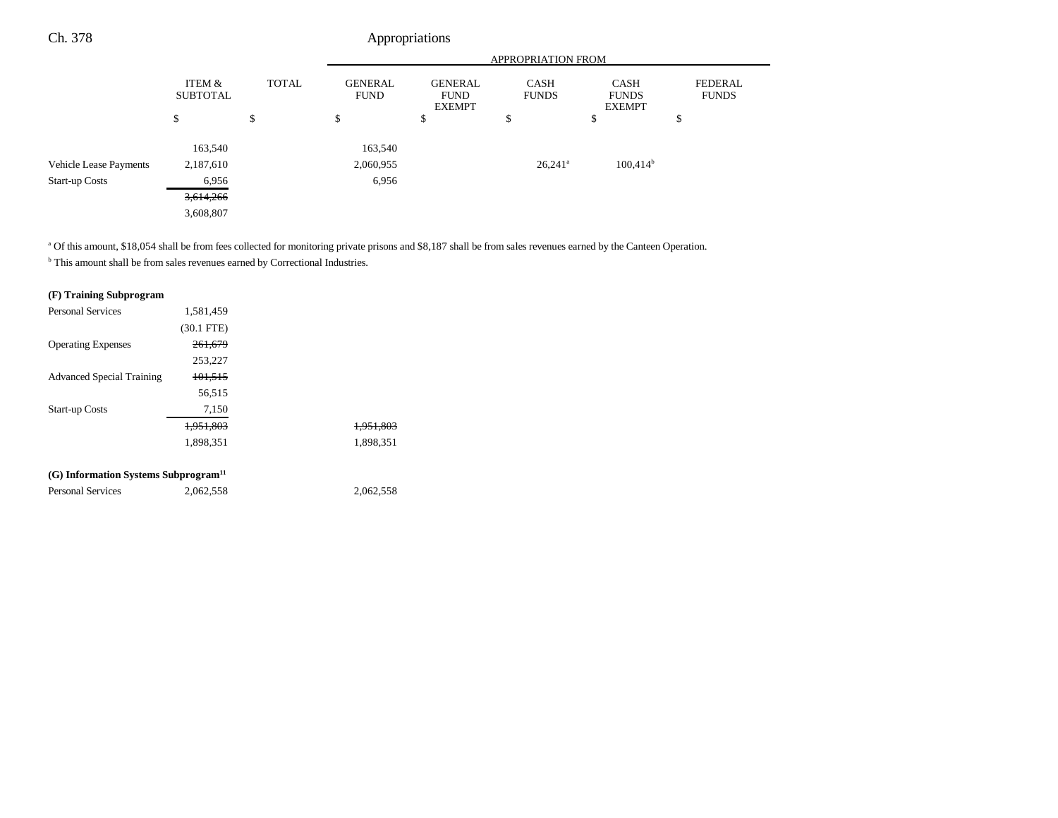|                               |                           |              | <b>APPROPRIATION FROM</b>                                                       |    |                             |                                              |                                |
|-------------------------------|---------------------------|--------------|---------------------------------------------------------------------------------|----|-----------------------------|----------------------------------------------|--------------------------------|
|                               | ITEM &<br><b>SUBTOTAL</b> | <b>TOTAL</b> | <b>GENERAL</b><br><b>GENERAL</b><br><b>FUND</b><br><b>FUND</b><br><b>EXEMPT</b> |    | <b>CASH</b><br><b>FUNDS</b> | <b>CASH</b><br><b>FUNDS</b><br><b>EXEMPT</b> | <b>FEDERAL</b><br><b>FUNDS</b> |
|                               | \$                        | \$           | \$                                                                              | \$ | \$                          | \$                                           | \$                             |
|                               | 163,540                   |              | 163,540                                                                         |    |                             |                                              |                                |
| <b>Vehicle Lease Payments</b> | 2,187,610                 |              | 2,060,955                                                                       |    | $26,241$ <sup>a</sup>       | $100,414$ <sup>b</sup>                       |                                |
| <b>Start-up Costs</b>         | 6,956                     |              | 6,956                                                                           |    |                             |                                              |                                |
|                               | 3,614,266                 |              |                                                                                 |    |                             |                                              |                                |
|                               | 3,608,807                 |              |                                                                                 |    |                             |                                              |                                |

<sup>a</sup> Of this amount, \$18,054 shall be from fees collected for monitoring private prisons and \$8,187 shall be from sales revenues earned by the Canteen Operation.

b This amount shall be from sales revenues earned by Correctional Industries.

# **(F) Training Subprogram**

| <b>Personal Services</b>                         | 1,581,459    |                      |
|--------------------------------------------------|--------------|----------------------|
|                                                  | $(30.1$ FTE) |                      |
| <b>Operating Expenses</b>                        | 261.679      |                      |
|                                                  | 253,227      |                      |
| <b>Advanced Special Training</b>                 | 101,515      |                      |
|                                                  | 56,515       |                      |
| <b>Start-up Costs</b>                            | 7,150        |                      |
|                                                  | 1.951.803    | <del>1.951.803</del> |
|                                                  | 1.898.351    | 1.898.351            |
| (G) Information Systems Subprogram <sup>11</sup> |              |                      |
| <b>Personal Services</b>                         | 2,062,558    | 2,062,558            |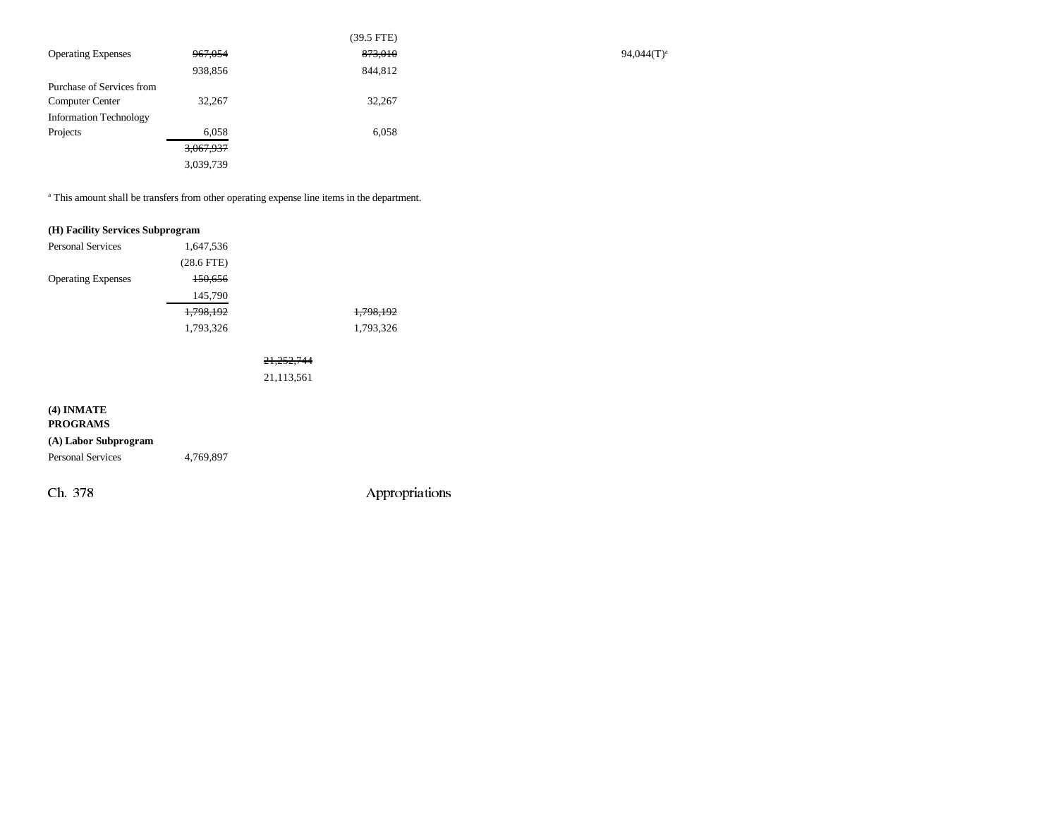|                               |           | $(39.5$ FTE) |
|-------------------------------|-----------|--------------|
| <b>Operating Expenses</b>     | 967,054   | 873,010      |
|                               | 938,856   | 844,812      |
| Purchase of Services from     |           |              |
| <b>Computer Center</b>        | 32,267    | 32,267       |
| <b>Information Technology</b> |           |              |
| Projects                      | 6,058     | 6,058        |
|                               | 3,067,937 |              |
|                               | 3,039,739 |              |

<sup>a</sup> This amount shall be transfers from other operating expense line items in the department.

# **(H) Facility Services Subprogram** Personal Services 1,647,536 (28.6 FTE) Operating Expenses 150,656 145,790 1,798,192 1,798,192 1,793,326 1,793,326

# 21,252,744

21,113,561

# **(4) INMATE**

#### **PROGRAMS**

**(A) Labor Subprogram** Personal Services 4,769,897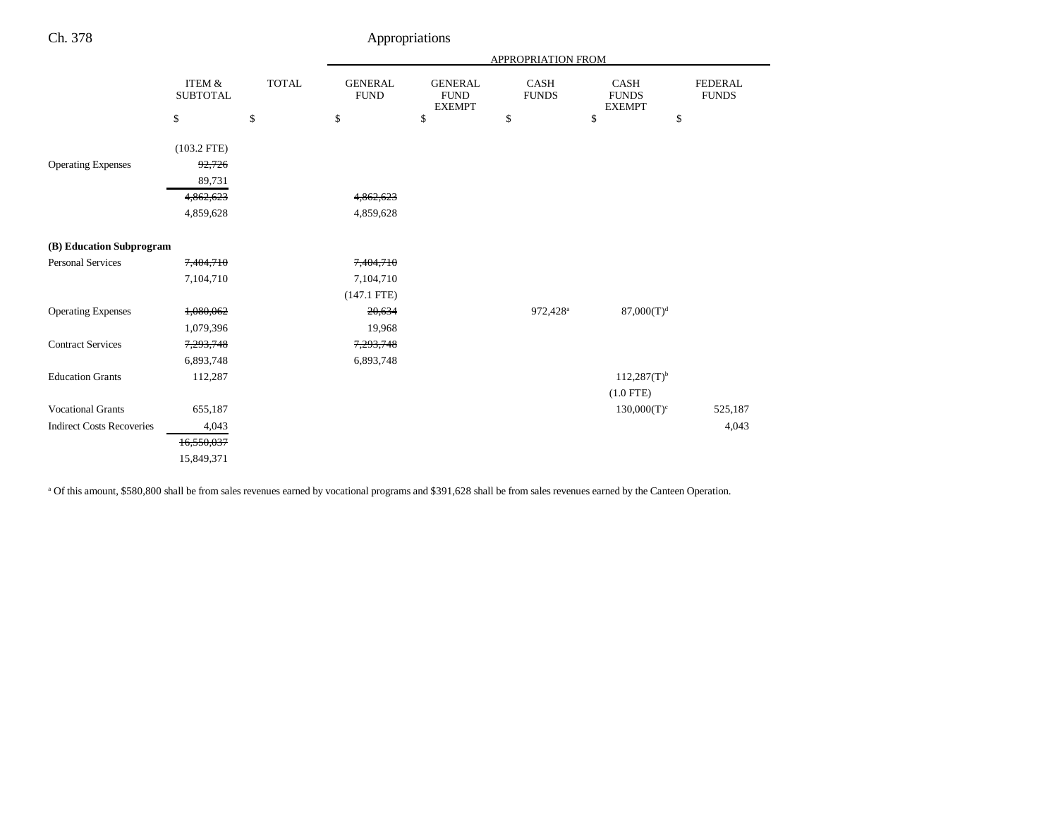| ٠ |  |
|---|--|
|---|--|

# Appropriations

|                                  |                                      |              | APPROPRIATION FROM            |                                                |                      |                                       |                                |
|----------------------------------|--------------------------------------|--------------|-------------------------------|------------------------------------------------|----------------------|---------------------------------------|--------------------------------|
|                                  | <b>ITEM &amp;</b><br><b>SUBTOTAL</b> | <b>TOTAL</b> | <b>GENERAL</b><br><b>FUND</b> | <b>GENERAL</b><br><b>FUND</b><br><b>EXEMPT</b> | CASH<br><b>FUNDS</b> | CASH<br><b>FUNDS</b><br><b>EXEMPT</b> | <b>FEDERAL</b><br><b>FUNDS</b> |
|                                  | $\mathbb{S}$                         | \$           | \$                            | \$                                             | \$                   | \$<br>\$                              |                                |
| <b>Operating Expenses</b>        | $(103.2$ FTE)<br>92,726<br>89,731    |              |                               |                                                |                      |                                       |                                |
|                                  | 4,862,623                            |              | 4,862,623                     |                                                |                      |                                       |                                |
|                                  | 4,859,628                            |              | 4,859,628                     |                                                |                      |                                       |                                |
|                                  |                                      |              |                               |                                                |                      |                                       |                                |
| (B) Education Subprogram         |                                      |              |                               |                                                |                      |                                       |                                |
| <b>Personal Services</b>         | 7,404,710                            |              | 7,404,710                     |                                                |                      |                                       |                                |
|                                  | 7,104,710                            |              | 7,104,710                     |                                                |                      |                                       |                                |
|                                  |                                      |              | $(147.1$ FTE)                 |                                                |                      |                                       |                                |
| <b>Operating Expenses</b>        | 1,080,062                            |              | 20,634                        |                                                | 972,428 <sup>a</sup> | $87,000(T)^d$                         |                                |
|                                  | 1,079,396                            |              | 19,968                        |                                                |                      |                                       |                                |
| <b>Contract Services</b>         | 7,293,748                            |              | 7,293,748                     |                                                |                      |                                       |                                |
|                                  | 6,893,748                            |              | 6,893,748                     |                                                |                      |                                       |                                |
| <b>Education Grants</b>          | 112,287                              |              |                               |                                                |                      | $112,287(T)$ <sup>b</sup>             |                                |
|                                  |                                      |              |                               |                                                |                      | $(1.0$ FTE)                           |                                |
| <b>Vocational Grants</b>         | 655,187                              |              |                               |                                                |                      | $130,000(T)^c$                        | 525,187                        |
| <b>Indirect Costs Recoveries</b> | 4,043                                |              |                               |                                                |                      |                                       | 4,043                          |
|                                  | 16,550,037                           |              |                               |                                                |                      |                                       |                                |
|                                  | 15,849,371                           |              |                               |                                                |                      |                                       |                                |

a Of this amount, \$580,800 shall be from sales revenues earned by vocational programs and \$391,628 shall be from sales revenues earned by the Canteen Operation.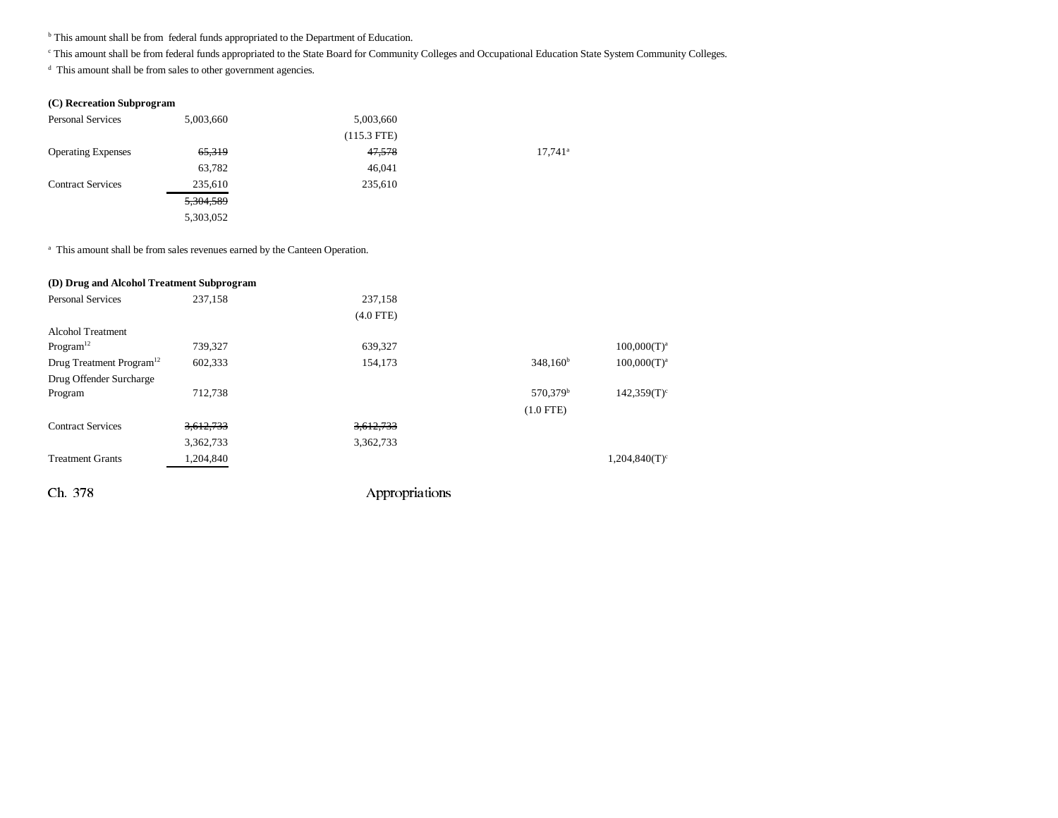**b** This amount shall be from federal funds appropriated to the Department of Education.

<sup>c</sup> This amount shall be from federal funds appropriated to the State Board for Community Colleges and Occupational Education State System Community Colleges.

<sup>d</sup> This amount shall be from sales to other government agencies.

#### **(C) Recreation Subprogram**

| <b>Personal Services</b>  | 5,003,660 | 5,003,660     |                       |
|---------------------------|-----------|---------------|-----------------------|
|                           |           | $(115.3$ FTE) |                       |
| <b>Operating Expenses</b> | 65,319    | 47,578        | $17,741$ <sup>a</sup> |
|                           | 63,782    | 46,041        |                       |
| <b>Contract Services</b>  | 235,610   | 235,610       |                       |
|                           | 5,304,589 |               |                       |
|                           | 5,303,052 |               |                       |

<sup>a</sup> This amount shall be from sales revenues earned by the Canteen Operation.

| (D) Drug and Alcohol Treatment Subprogram |           |                |                      |                             |
|-------------------------------------------|-----------|----------------|----------------------|-----------------------------|
| <b>Personal Services</b>                  | 237.158   | 237,158        |                      |                             |
|                                           |           | $(4.0$ FTE)    |                      |                             |
| Alcohol Treatment                         |           |                |                      |                             |
| Program <sup>12</sup>                     | 739,327   | 639,327        |                      | $100,000(T)^a$              |
| Drug Treatment Program <sup>12</sup>      | 602,333   | 154,173        | $348,160^b$          | $100,000(T)^a$              |
| Drug Offender Surcharge                   |           |                |                      |                             |
| Program                                   | 712,738   |                | 570,379 <sup>b</sup> | $142,359(T)$ <sup>c</sup>   |
|                                           |           |                | $(1.0$ FTE)          |                             |
| <b>Contract Services</b>                  | 3,612,733 | 3,612,733      |                      |                             |
|                                           | 3,362,733 | 3,362,733      |                      |                             |
| <b>Treatment Grants</b>                   | 1,204,840 |                |                      | $1,204,840(T)$ <sup>c</sup> |
| Ch. 378                                   |           | Appropriations |                      |                             |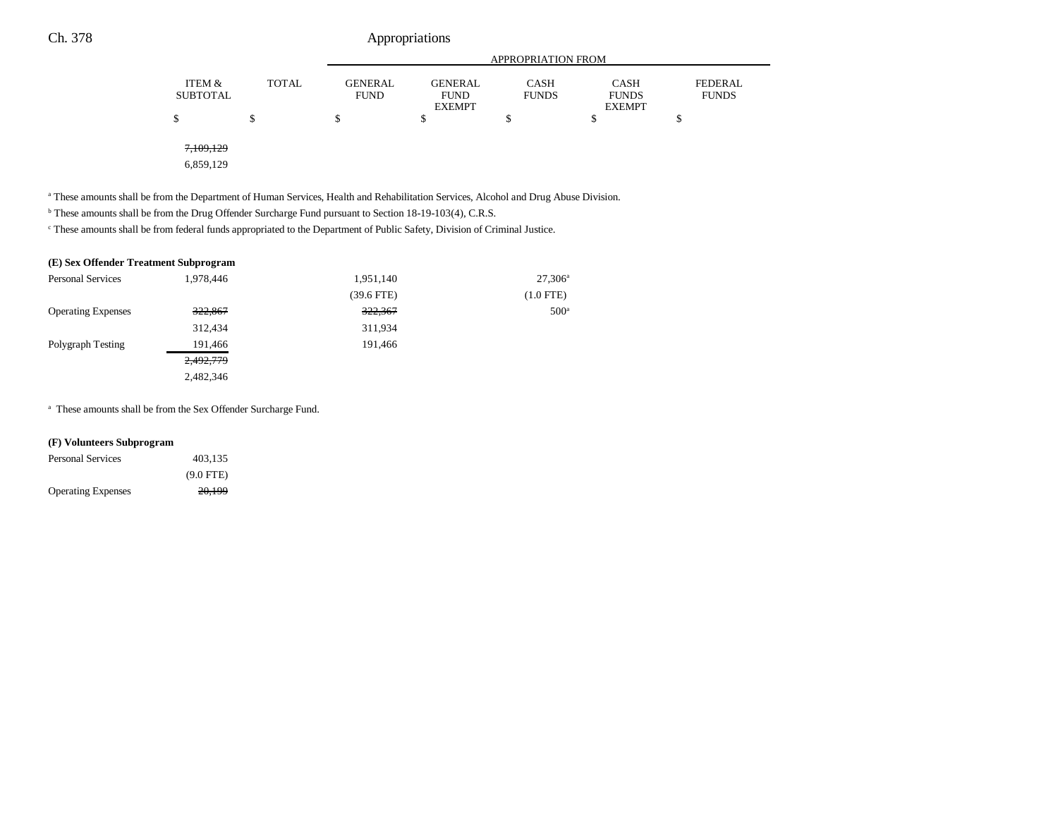|                           |              | <b>APPROPRIATION FROM</b>     |                                                |                             |                                              |                                |  |
|---------------------------|--------------|-------------------------------|------------------------------------------------|-----------------------------|----------------------------------------------|--------------------------------|--|
| ITEM &<br><b>SUBTOTAL</b> | <b>TOTAL</b> | <b>GENERAL</b><br><b>FUND</b> | <b>GENERAL</b><br><b>FUND</b><br><b>EXEMPT</b> | <b>CASH</b><br><b>FUNDS</b> | <b>CASH</b><br><b>FUNDS</b><br><b>EXEMPT</b> | <b>FEDERAL</b><br><b>FUNDS</b> |  |
| \$                        | \$           | S                             | \$                                             | \$                          | \$                                           | ъ                              |  |
| 7,109,129<br>6,859,129    |              |                               |                                                |                             |                                              |                                |  |

<sup>a</sup> These amounts shall be from the Department of Human Services, Health and Rehabilitation Services, Alcohol and Drug Abuse Division.

b These amounts shall be from the Drug Offender Surcharge Fund pursuant to Section 18-19-103(4), C.R.S.

c These amounts shall be from federal funds appropriated to the Department of Public Safety, Division of Criminal Justice.

#### **(E) Sex Offender Treatment Subprogram**

| <b>Personal Services</b>  | 1,978,446 | 1,951,140    | $27,306^{\rm a}$ |
|---------------------------|-----------|--------------|------------------|
|                           |           | $(39.6$ FTE) | $(1.0$ FTE)      |
| <b>Operating Expenses</b> | 322,867   | 322,367      | 500 <sup>a</sup> |
|                           | 312.434   | 311,934      |                  |
| Polygraph Testing         | 191,466   | 191.466      |                  |
|                           | 2,492,779 |              |                  |
|                           | 2,482,346 |              |                  |

 $^{\mathrm{a}}$  These amounts shall be from the Sex Offender Surcharge Fund.

#### **(F) Volunteers Subprogram**

| <b>Personal Services</b>  | 403.135     |  |
|---------------------------|-------------|--|
|                           | $(9.0$ FTE) |  |
| <b>Operating Expenses</b> | 20.199      |  |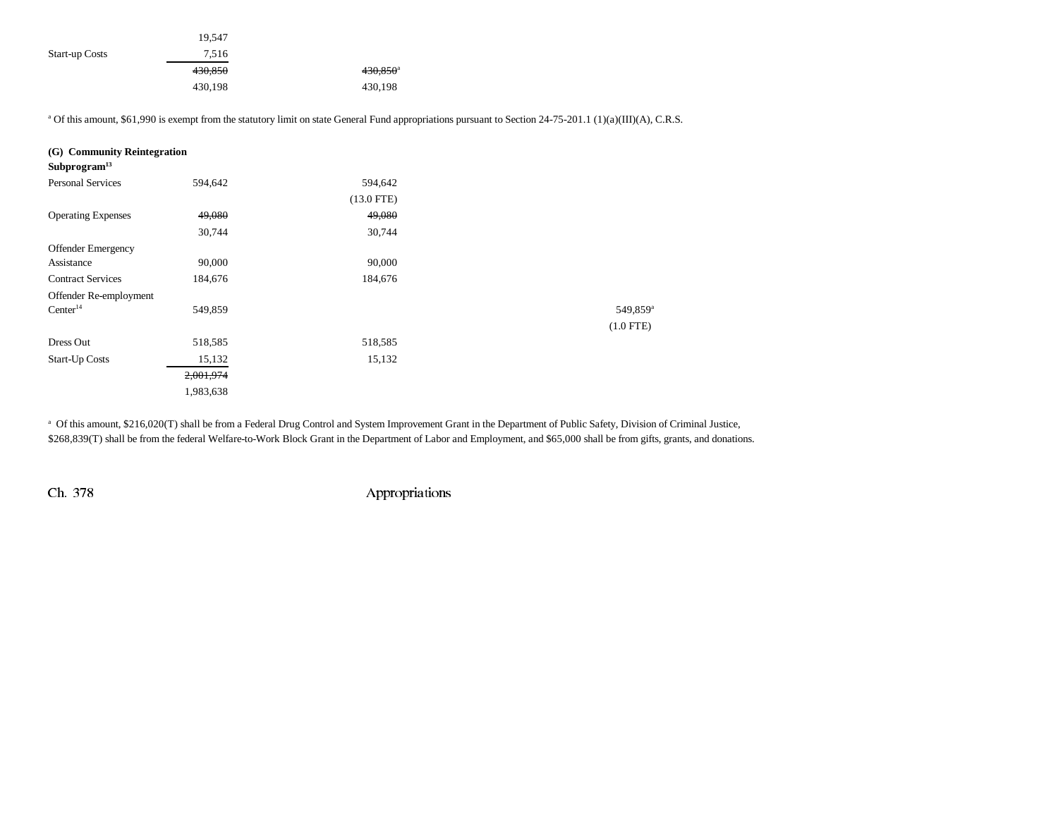|                       | 19.547  |                        |
|-----------------------|---------|------------------------|
| <b>Start-up Costs</b> | 7.516   |                        |
|                       | 430,850 | $430,850$ <sup>a</sup> |
|                       | 430,198 | 430,198                |

<sup>a</sup> Of this amount, \$61,990 is exempt from the statutory limit on state General Fund appropriations pursuant to Section 24-75-201.1 (1)(a)(III)(A), C.R.S.

| (G) Community Reintegration |           |              |                      |
|-----------------------------|-----------|--------------|----------------------|
| Subprogram <sup>13</sup>    |           |              |                      |
| <b>Personal Services</b>    | 594,642   | 594,642      |                      |
|                             |           | $(13.0$ FTE) |                      |
| <b>Operating Expenses</b>   | 49,080    | 49,080       |                      |
|                             | 30,744    | 30,744       |                      |
| <b>Offender Emergency</b>   |           |              |                      |
| Assistance                  | 90,000    | 90,000       |                      |
| <b>Contract Services</b>    | 184,676   | 184,676      |                      |
| Offender Re-employment      |           |              |                      |
| Center <sup>14</sup>        | 549,859   |              | 549,859 <sup>a</sup> |
|                             |           |              | $(1.0$ FTE)          |
| Dress Out                   | 518,585   | 518,585      |                      |
| <b>Start-Up Costs</b>       | 15,132    | 15,132       |                      |
|                             | 2,001,974 |              |                      |
|                             | 1,983,638 |              |                      |

<sup>a</sup> Of this amount, \$216,020(T) shall be from a Federal Drug Control and System Improvement Grant in the Department of Public Safety, Division of Criminal Justice, \$268,839(T) shall be from the federal Welfare-to-Work Block Grant in the Department of Labor and Employment, and \$65,000 shall be from gifts, grants, and donations.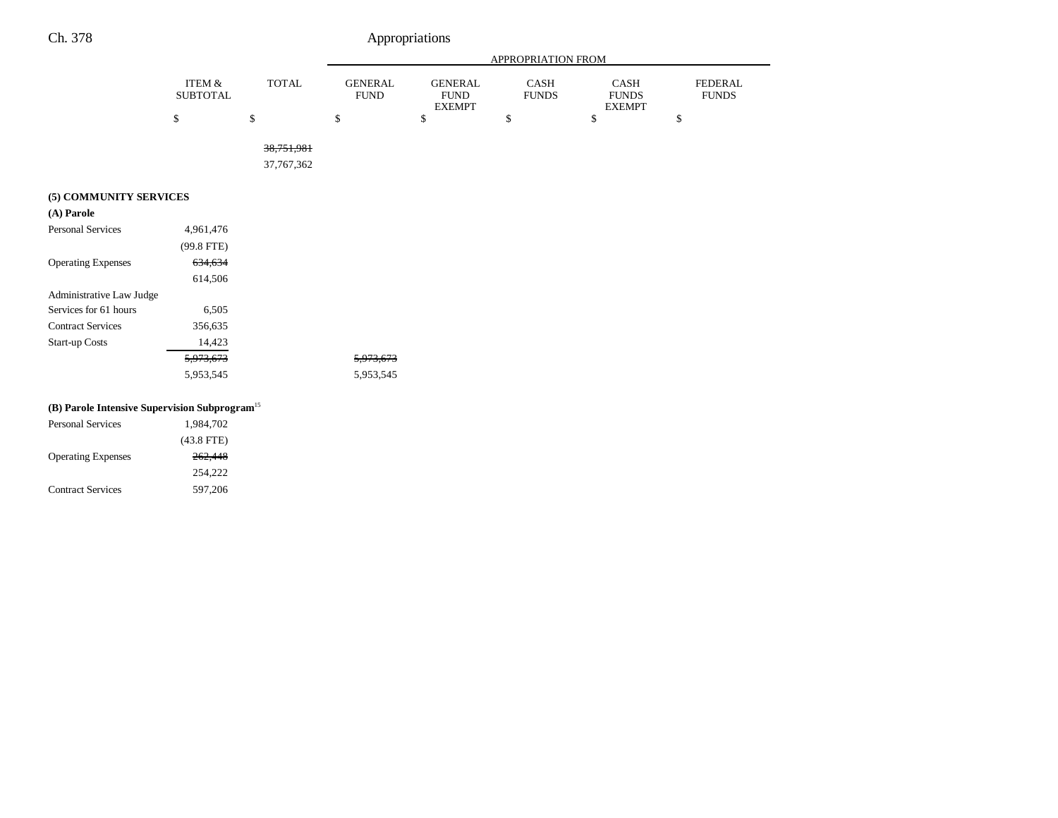Contract Services 597,206

|                                                           |                                      |              | APPROPRIATION FROM            |                                                |                      |                                              |                                |
|-----------------------------------------------------------|--------------------------------------|--------------|-------------------------------|------------------------------------------------|----------------------|----------------------------------------------|--------------------------------|
|                                                           | <b>ITEM &amp;</b><br><b>SUBTOTAL</b> | <b>TOTAL</b> | <b>GENERAL</b><br><b>FUND</b> | <b>GENERAL</b><br><b>FUND</b><br><b>EXEMPT</b> | CASH<br><b>FUNDS</b> | <b>CASH</b><br><b>FUNDS</b><br><b>EXEMPT</b> | <b>FEDERAL</b><br><b>FUNDS</b> |
|                                                           | $\mathbb{S}$                         | \$           | $\$$                          | $\mathbb S$                                    | $\$$                 | \$                                           | $\mathbb{S}$                   |
|                                                           |                                      | 38,751,981   |                               |                                                |                      |                                              |                                |
|                                                           |                                      | 37,767,362   |                               |                                                |                      |                                              |                                |
| (5) COMMUNITY SERVICES                                    |                                      |              |                               |                                                |                      |                                              |                                |
| (A) Parole                                                |                                      |              |                               |                                                |                      |                                              |                                |
| <b>Personal Services</b>                                  | 4,961,476                            |              |                               |                                                |                      |                                              |                                |
|                                                           | (99.8 FTE)                           |              |                               |                                                |                      |                                              |                                |
| <b>Operating Expenses</b>                                 | 634,634                              |              |                               |                                                |                      |                                              |                                |
|                                                           | 614,506                              |              |                               |                                                |                      |                                              |                                |
| Administrative Law Judge                                  |                                      |              |                               |                                                |                      |                                              |                                |
| Services for 61 hours                                     | 6,505                                |              |                               |                                                |                      |                                              |                                |
| <b>Contract Services</b>                                  | 356,635                              |              |                               |                                                |                      |                                              |                                |
| Start-up Costs                                            | 14,423                               |              |                               |                                                |                      |                                              |                                |
|                                                           | 5,973,673                            |              | 5,973,673                     |                                                |                      |                                              |                                |
|                                                           | 5,953,545                            |              | 5,953,545                     |                                                |                      |                                              |                                |
| (B) Parole Intensive Supervision Subprogram <sup>15</sup> |                                      |              |                               |                                                |                      |                                              |                                |
| <b>Personal Services</b>                                  | 1,984,702                            |              |                               |                                                |                      |                                              |                                |
|                                                           | $(43.8$ FTE)                         |              |                               |                                                |                      |                                              |                                |
| <b>Operating Expenses</b>                                 | 262,448                              |              |                               |                                                |                      |                                              |                                |
|                                                           | 254,222                              |              |                               |                                                |                      |                                              |                                |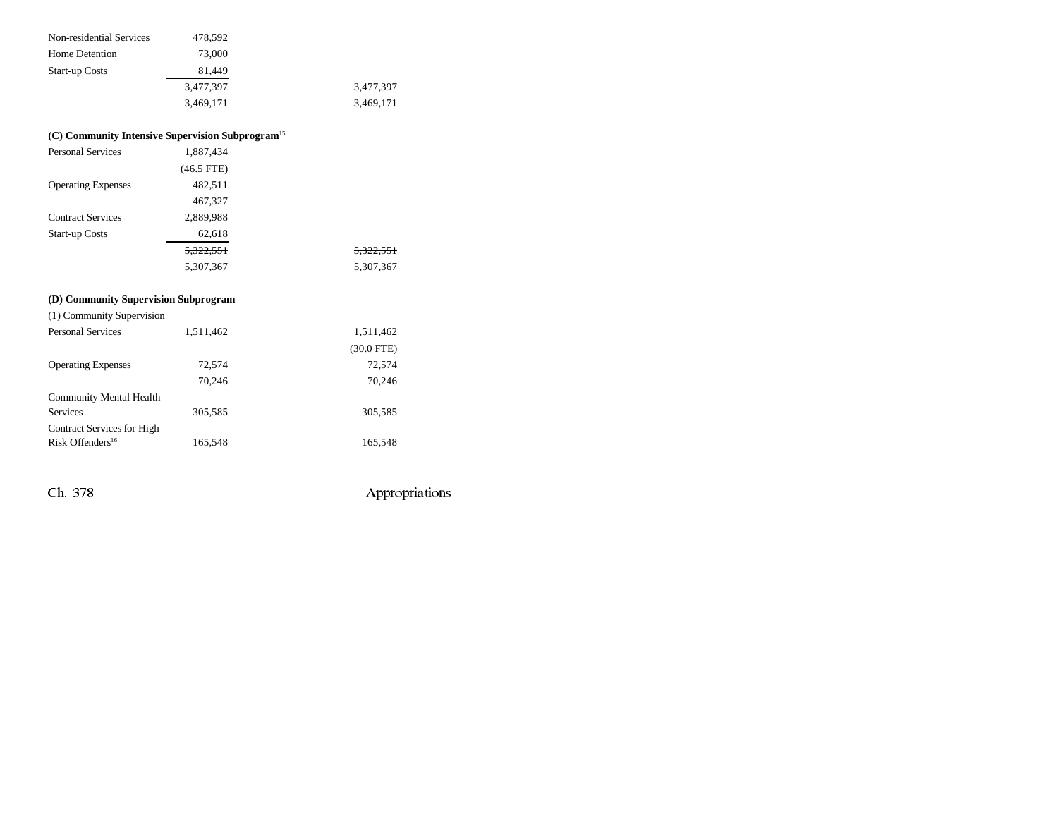| 478,592   |                      |
|-----------|----------------------|
| 73,000    |                      |
| 81.449    |                      |
| 3,477,397 | <del>3,477,397</del> |
| 3.469.171 | 3.469.171            |
|           |                      |

# **(C) Community Intensive Supervision Subprogram**<sup>15</sup> Personal Services 1,887,434

|                           | $(46.5$ FTE) |                      |
|---------------------------|--------------|----------------------|
| <b>Operating Expenses</b> | 482,511      |                      |
|                           | 467,327      |                      |
| <b>Contract Services</b>  | 2,889,988    |                      |
| <b>Start-up Costs</b>     | 62,618       |                      |
|                           | 5,322,551    | <del>5,322,551</del> |
|                           | 5,307,367    | 5,307,367            |

# **(D) Community Supervision Subprogram**

| (1) Community Supervision    |           |                   |
|------------------------------|-----------|-------------------|
| <b>Personal Services</b>     | 1,511,462 | 1,511,462         |
|                              |           | $(30.0$ FTE)      |
| <b>Operating Expenses</b>    | 72.574    | <del>72.574</del> |
|                              | 70.246    | 70.246            |
| Community Mental Health      |           |                   |
| <b>Services</b>              | 305,585   | 305,585           |
| Contract Services for High   |           |                   |
| Risk Offenders <sup>16</sup> | 165,548   | 165,548           |
|                              |           |                   |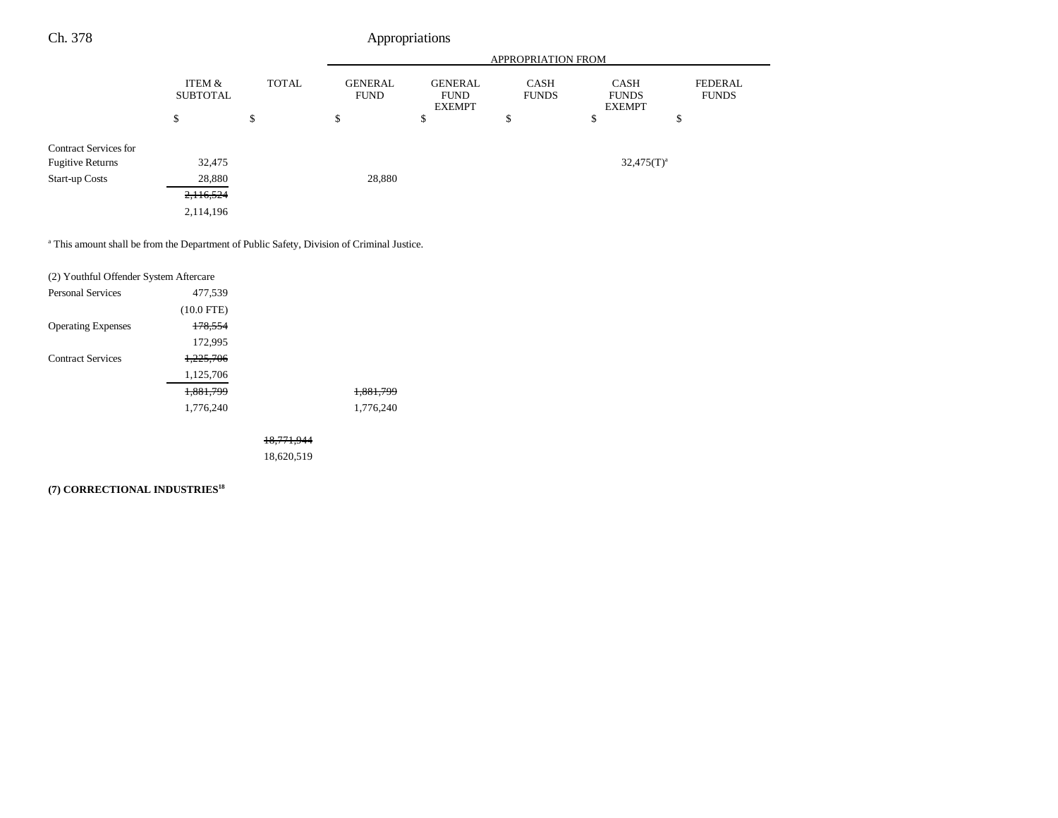÷.

|                              |                           |              | APPROPRIATION FROM            |                                                |                             |                                              |                                |
|------------------------------|---------------------------|--------------|-------------------------------|------------------------------------------------|-----------------------------|----------------------------------------------|--------------------------------|
|                              | ITEM &<br><b>SUBTOTAL</b> | <b>TOTAL</b> | <b>GENERAL</b><br><b>FUND</b> | <b>GENERAL</b><br><b>FUND</b><br><b>EXEMPT</b> | <b>CASH</b><br><b>FUNDS</b> | <b>CASH</b><br><b>FUNDS</b><br><b>EXEMPT</b> | <b>FEDERAL</b><br><b>FUNDS</b> |
|                              | \$                        | \$           | \$                            | \$                                             | \$                          | \$                                           | \$                             |
| <b>Contract Services for</b> |                           |              |                               |                                                |                             |                                              |                                |
| <b>Fugitive Returns</b>      | 32,475                    |              |                               |                                                |                             | $32,475(T)^a$                                |                                |
| <b>Start-up Costs</b>        | 28,880                    |              | 28,880                        |                                                |                             |                                              |                                |
|                              | 2,116,524                 |              |                               |                                                |                             |                                              |                                |
|                              | 2,114,196                 |              |                               |                                                |                             |                                              |                                |
|                              |                           |              |                               |                                                |                             |                                              |                                |

<sup>a</sup> This amount shall be from the Department of Public Safety, Division of Criminal Justice.

| (2) Youthful Offender System Aftercare |              |                       |           |
|----------------------------------------|--------------|-----------------------|-----------|
| <b>Personal Services</b>               | 477,539      |                       |           |
|                                        | $(10.0$ FTE) |                       |           |
| <b>Operating Expenses</b>              | 178,554      |                       |           |
|                                        | 172,995      |                       |           |
| <b>Contract Services</b>               | 1,225,706    |                       |           |
|                                        | 1,125,706    |                       |           |
|                                        | 1,881,799    |                       | 1.881.799 |
|                                        | 1,776,240    |                       | 1.776.240 |
|                                        |              |                       |           |
|                                        |              | <del>18.771.944</del> |           |

18,620,519

# **(7) CORRECTIONAL INDUSTRIES18**